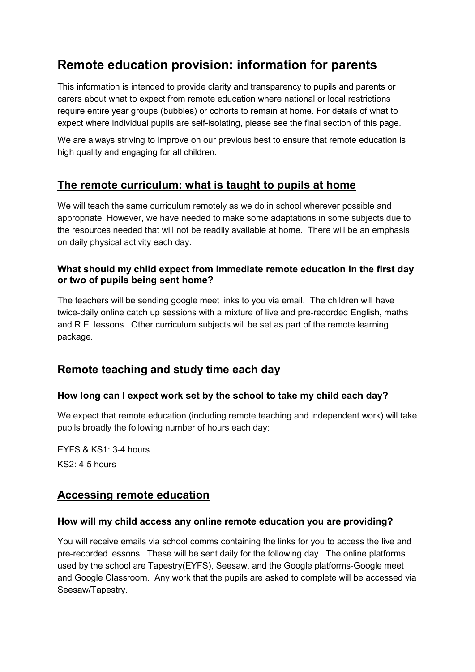# **Remote education provision: information for parents**

This information is intended to provide clarity and transparency to pupils and parents or carers about what to expect from remote education where national or local restrictions require entire year groups (bubbles) or cohorts to remain at home. For details of what to expect where individual pupils are self-isolating, please see the final section of this page.

We are always striving to improve on our previous best to ensure that remote education is high quality and engaging for all children.

### **The remote curriculum: what is taught to pupils at home**

We will teach the same curriculum remotely as we do in school wherever possible and appropriate. However, we have needed to make some adaptations in some subjects due to the resources needed that will not be readily available at home. There will be an emphasis on daily physical activity each day.

#### **What should my child expect from immediate remote education in the first day or two of pupils being sent home?**

The teachers will be sending google meet links to you via email. The children will have twice-daily online catch up sessions with a mixture of live and pre-recorded English, maths and R.E. lessons. Other curriculum subjects will be set as part of the remote learning package.

### **Remote teaching and study time each day**

#### **How long can I expect work set by the school to take my child each day?**

We expect that remote education (including remote teaching and independent work) will take pupils broadly the following number of hours each day:

EYFS & KS1: 3-4 hours KS2: 4-5 hours

### **Accessing remote education**

#### **How will my child access any online remote education you are providing?**

You will receive emails via school comms containing the links for you to access the live and pre-recorded lessons. These will be sent daily for the following day. The online platforms used by the school are Tapestry(EYFS), Seesaw, and the Google platforms-Google meet and Google Classroom. Any work that the pupils are asked to complete will be accessed via Seesaw/Tapestry.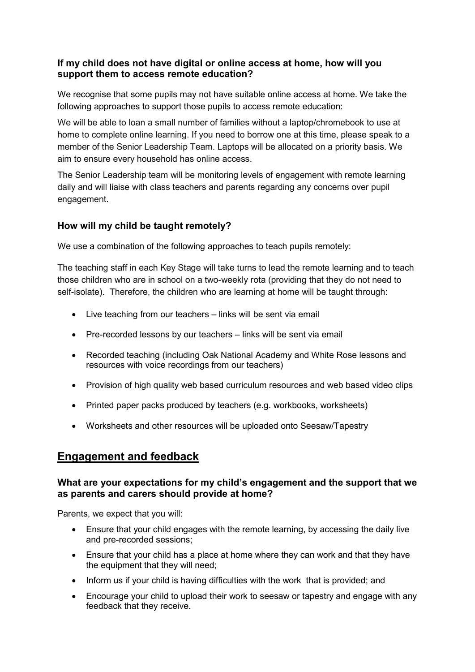#### **If my child does not have digital or online access at home, how will you support them to access remote education?**

We recognise that some pupils may not have suitable online access at home. We take the following approaches to support those pupils to access remote education:

We will be able to loan a small number of families without a laptop/chromebook to use at home to complete online learning. If you need to borrow one at this time, please speak to a member of the Senior Leadership Team. Laptops will be allocated on a priority basis. We aim to ensure every household has online access.

The Senior Leadership team will be monitoring levels of engagement with remote learning daily and will liaise with class teachers and parents regarding any concerns over pupil engagement.

#### **How will my child be taught remotely?**

We use a combination of the following approaches to teach pupils remotely:

The teaching staff in each Key Stage will take turns to lead the remote learning and to teach those children who are in school on a two-weekly rota (providing that they do not need to self-isolate). Therefore, the children who are learning at home will be taught through:

- Live teaching from our teachers links will be sent via email
- Pre-recorded lessons by our teachers links will be sent via email
- Recorded teaching (including Oak National Academy and White Rose lessons and resources with voice recordings from our teachers)
- Provision of high quality web based curriculum resources and web based video clips
- Printed paper packs produced by teachers (e.g. workbooks, worksheets)
- Worksheets and other resources will be uploaded onto Seesaw/Tapestry

### **Engagement and feedback**

#### **What are your expectations for my child's engagement and the support that we as parents and carers should provide at home?**

Parents, we expect that you will:

- Ensure that your child engages with the remote learning, by accessing the daily live and pre-recorded sessions;
- Ensure that your child has a place at home where they can work and that they have the equipment that they will need;
- Inform us if your child is having difficulties with the work that is provided; and
- Encourage your child to upload their work to seesaw or tapestry and engage with any feedback that they receive.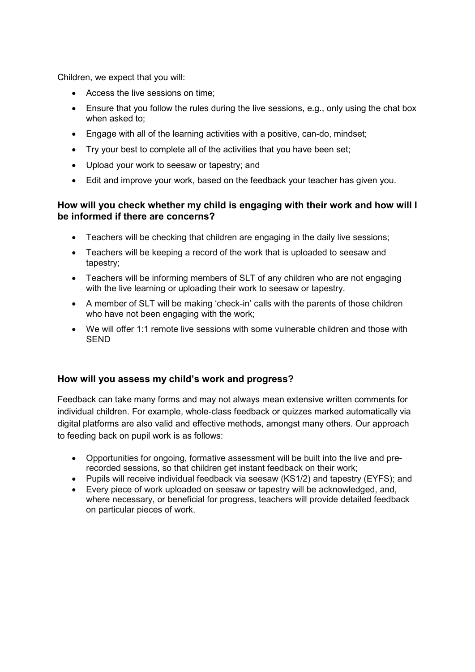Children, we expect that you will:

- Access the live sessions on time;
- Ensure that you follow the rules during the live sessions, e.g., only using the chat box when asked to;
- Engage with all of the learning activities with a positive, can-do, mindset;
- Try your best to complete all of the activities that you have been set;
- Upload your work to seesaw or tapestry; and
- Edit and improve your work, based on the feedback your teacher has given you.

#### **How will you check whether my child is engaging with their work and how will I be informed if there are concerns?**

- Teachers will be checking that children are engaging in the daily live sessions;
- Teachers will be keeping a record of the work that is uploaded to seesaw and tapestry;
- Teachers will be informing members of SLT of any children who are not engaging with the live learning or uploading their work to seesaw or tapestry.
- A member of SLT will be making 'check-in' calls with the parents of those children who have not been engaging with the work;
- We will offer 1:1 remote live sessions with some vulnerable children and those with **SEND**

#### **How will you assess my child's work and progress?**

Feedback can take many forms and may not always mean extensive written comments for individual children. For example, whole-class feedback or quizzes marked automatically via digital platforms are also valid and effective methods, amongst many others. Our approach to feeding back on pupil work is as follows:

- Opportunities for ongoing, formative assessment will be built into the live and prerecorded sessions, so that children get instant feedback on their work;
- Pupils will receive individual feedback via seesaw (KS1/2) and tapestry (EYFS); and
- Every piece of work uploaded on seesaw or tapestry will be acknowledged, and, where necessary, or beneficial for progress, teachers will provide detailed feedback on particular pieces of work.